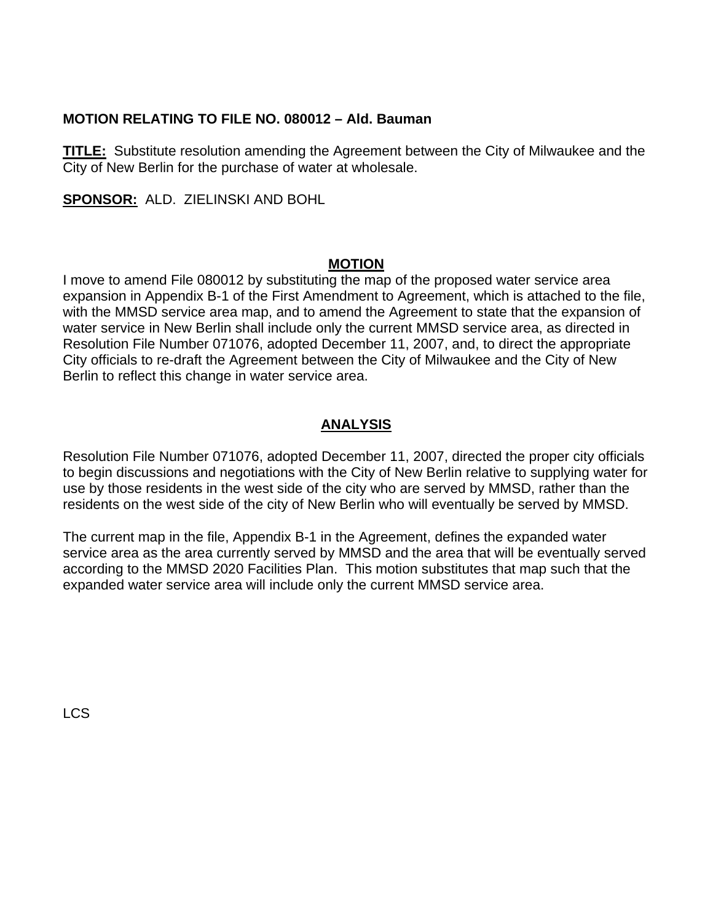## **MOTION RELATING TO FILE NO. 080012 – Ald. Bauman**

**TITLE:** Substitute resolution amending the Agreement between the City of Milwaukee and the City of New Berlin for the purchase of water at wholesale.

**SPONSOR:** ALD. ZIELINSKI AND BOHL

## **MOTION**

I move to amend File 080012 by substituting the map of the proposed water service area expansion in Appendix B-1 of the First Amendment to Agreement, which is attached to the file, with the MMSD service area map, and to amend the Agreement to state that the expansion of water service in New Berlin shall include only the current MMSD service area, as directed in Resolution File Number 071076, adopted December 11, 2007, and, to direct the appropriate City officials to re-draft the Agreement between the City of Milwaukee and the City of New Berlin to reflect this change in water service area.

## **ANALYSIS**

Resolution File Number 071076, adopted December 11, 2007, directed the proper city officials to begin discussions and negotiations with the City of New Berlin relative to supplying water for use by those residents in the west side of the city who are served by MMSD, rather than the residents on the west side of the city of New Berlin who will eventually be served by MMSD.

The current map in the file, Appendix B-1 in the Agreement, defines the expanded water service area as the area currently served by MMSD and the area that will be eventually served according to the MMSD 2020 Facilities Plan. This motion substitutes that map such that the expanded water service area will include only the current MMSD service area.

LCS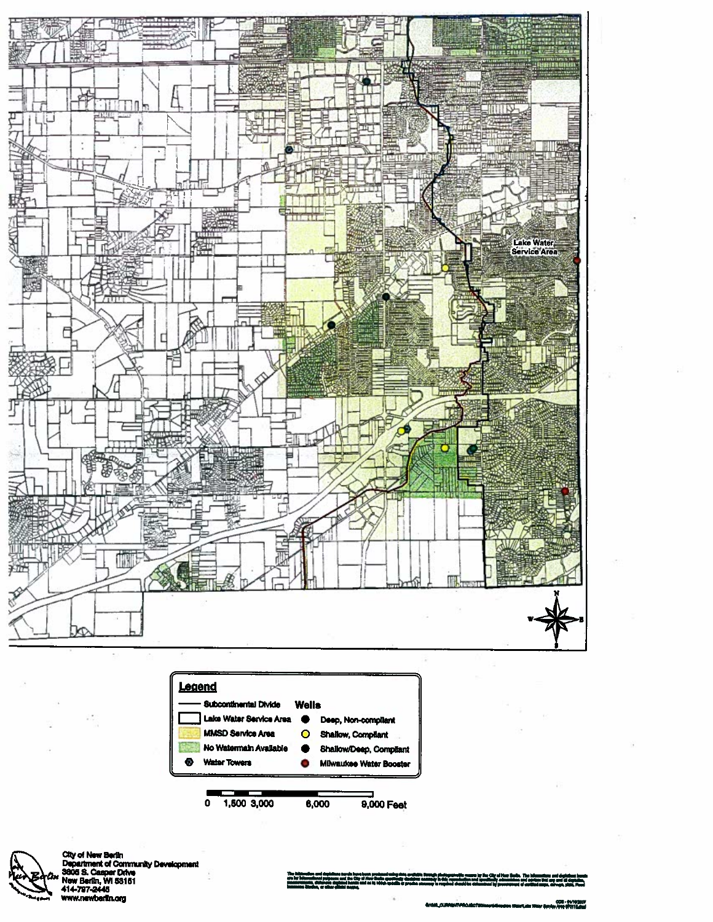



City of New Berlin<br>Department of Community Development<br>3806 S. Casper Drive<br>New Berlin, WI 58161<br>414-797-2445<br>Www.newberlin.org

d'a photographytic coaste by the City of these States. The Islamantines and depicts<br>by in this copyrighten and ignorately administrating and administration of the<br>a in resultant character determined by accountance of contr